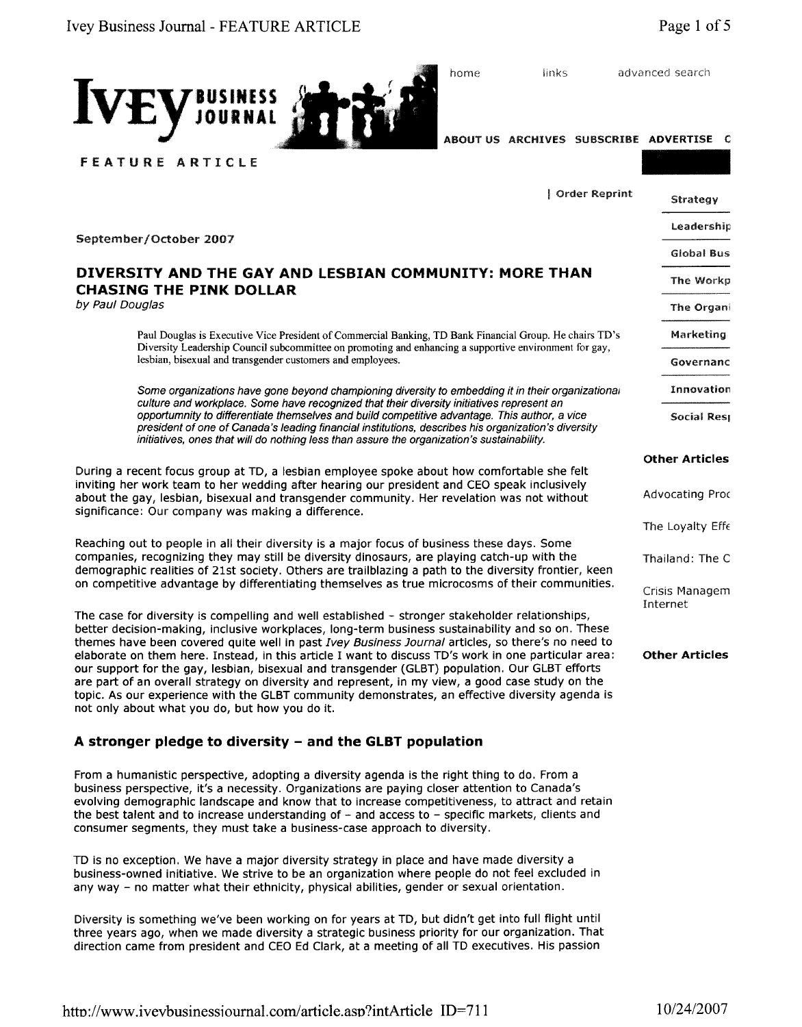

home links advanced search

ABOUT US ARCHIVES SUBSCRIBE **ADVERTISE C**

| Order Reprint                                                                                                                                                                                                                                                                           |                            | Strategy         |
|-----------------------------------------------------------------------------------------------------------------------------------------------------------------------------------------------------------------------------------------------------------------------------------------|----------------------------|------------------|
|                                                                                                                                                                                                                                                                                         |                            | Leadership       |
|                                                                                                                                                                                                                                                                                         |                            | Giobal Bus       |
| AN COMMUNITY: MORE THAN                                                                                                                                                                                                                                                                 |                            | The Workp        |
|                                                                                                                                                                                                                                                                                         |                            | The Organi       |
| ercial Banking, TD Bank Financial Group. He chairs TD's<br>noting and enhancing a supportive environment for gay,<br>olovees.                                                                                                                                                           |                            | <b>Marketing</b> |
|                                                                                                                                                                                                                                                                                         |                            | Governanc        |
| oning diversity to embedding it in their organizational<br>'hat their diversity initiatives represent an<br>ild competitive advantage. This author, a vice<br>nstitutions, describes his organization's diversity<br>sure the organization's sustainability.                            |                            | Innovation       |
|                                                                                                                                                                                                                                                                                         |                            | Social Resp      |
| ee spoke about how comfortable she felt<br>our president and CEO speak inclusively<br>nmunity. Her revelation was not without                                                                                                                                                           | <b>Other Articles</b>      |                  |
|                                                                                                                                                                                                                                                                                         | <b>Advocating Proc</b>     |                  |
| r focus of business these days. Some<br>nosaurs, are playing catch-up with the<br>Iblazing a path to the diversity frontier, keen<br>es as true microcosms of their communities.                                                                                                        | The Loyalty Effe           |                  |
|                                                                                                                                                                                                                                                                                         | Thailand: The C            |                  |
|                                                                                                                                                                                                                                                                                         | Crisis Managem<br>Internet |                  |
| ned - stronger stakeholder relationships,<br>rm business sustainability and so on. These<br>siness Journal articles, so there's no need to<br>t to discuss TD's work in one particular area:<br>ender (GLBT) population. Our GLBT efforts<br>sent, in my view, a good case study on the | <b>Other Articles</b>      |                  |

September/October 2007

# **DIVERSITY AND THE GAY AND LESBIA CHASING THE PINK DOLLAR**

by Paul Douglas

Paul Douglas is Executive Vice President of Comme Diversity Leadership Council subcommittee on prom lesbian, bisexual and transgender customers and emp

Some organizations have gone beyond champion culture and workplace. Some have recognized that opportumnity to differentiate themselves and build comportunity to differentiate themselves president of one of Canada's leading financial in initiatives, ones that will do nothing less than as

During a recent focus group at TD, a lesbian employe inviting her work team to her wedding after hearing about the gay, lesbian, bisexual and transgender com significance: Our company was making a difference.

Reaching out to people in all their diversity is a major companies, recognizing they may still be diversity dir demographic realities of 21st society. Others are trail on competitive advantage by differentiating themselv

The case for diversity is compelling and well established better decision-making, inclusive workplaces, long-te themes have been covered quite well in past Ivey Bust elaborate on them here. Instead, in this article I want our support for the gay, lesbian, bisexual and transge are part of an overall strategy on diversity and repres topic. As our experience with the GLBT community demonstrates, an effective diversity agenda is not only about what you do, but how you do it.

# **A stronger pledge to diversity - and the GLBT population**

From a humanistic perspective, adopting a diversity agenda is the right thing to do. From a business perspective, it's a necessity. Organizations are paying closer attention to Canada's evolving demographic landscape and know that to increase competitiveness, to attract and retain the best talent and to increase understanding of - and access to - specific markets, clients and consumer segments, they must take a business-case approach to diversity.

TD is no exception. We have a major diversity strategy in place and have made diversity a business-owned initiative. We strive to be an organization where people do not feel excluded in any way - no matter what their ethnicity, physical abilities, gender or sexual orientation.

Diversity is something we've been working on for years at TD, but didn't get into full flight until three years ago, when we made diversity a strategic business priority for our organization. That direction came from president and CEO Ed Clark, at a meeting of all TD executives. His passion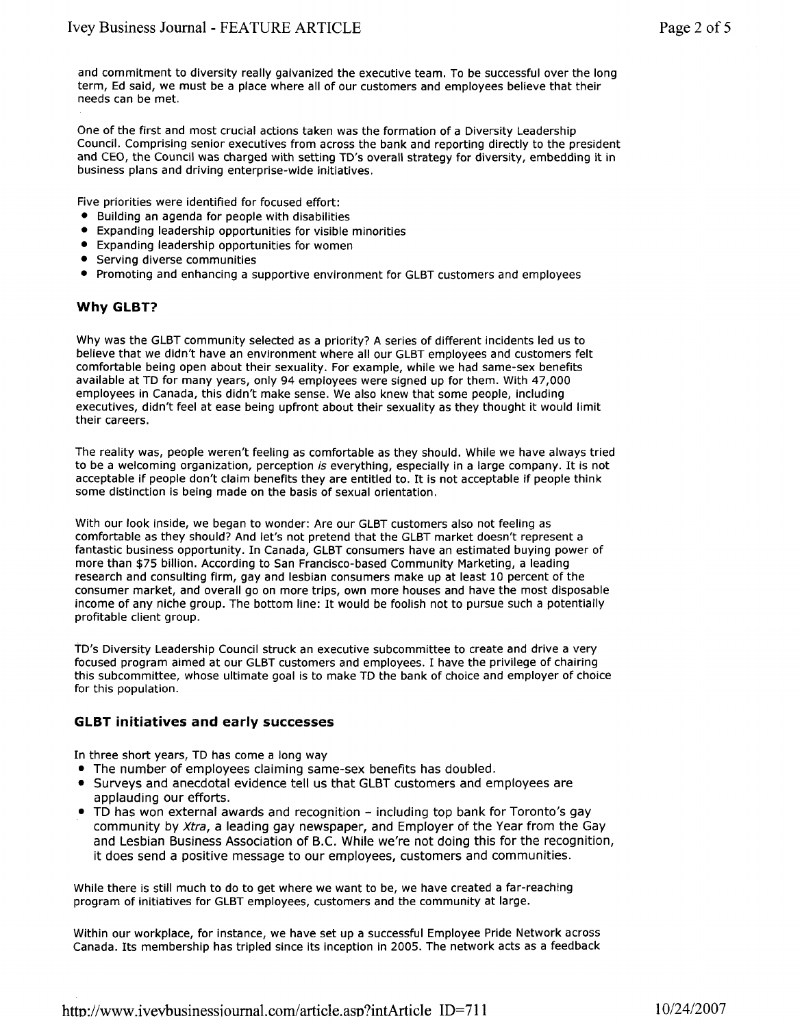and commitment to diversity really galvanized the executive team. To be successful over the long term, Ed said, we must be a place where all of our customers and employees believe that their needs can be met.

One of the first and most crucial actions taken was the formation of a Diversity Leadership Council. Comprising senior executives from across the bank and reporting directly to the president and CEO, the Council was charged with setting TD's overall strategy for diversity, embedding it in business plans and driving enterprise-wide initiatives.

Five priorities were identified for focused effort:

- Building an agenda for people with disabilities
- Expanding leadership opportunities for visible minorities
- Expanding leadership opportunities for women
- Serving diverse communities
- Promoting and enhancing a supportive environment for GLBT customers and employees

# **Why GLBT?**

Why was the GLBT community selected as a priority? A series of different incidents led us to believe that we didn't have an environment where all our GLBT employees and customers felt comfortable being open about their sexuality. For example, while we had same-sex benefits available at TD for many years, only 94 employees were signed up for them. With 47,000 employees in Canada, this didn't make sense. We also knew that some people, including executives, didn't feel at ease being upfront about their sexuality as they thought it would limit their careers.

The reality was, people weren't feeling as comfortable as they should. While we have always tried to be a welcoming organization, perception is everything, especially in a large company. It is not acceptable if people don't claim benefits they are entitled to. It is not acceptable if people think some distinction is being made on the basis of sexual orientation.

With our look inside, we began to wonder: Are our GLBT customers also not feeling as comfortable as they should? And let's not pretend that the GLBT market doesn't represent a fantastic business opportunity. In Canada, GLBT consumers have an estimated buying power of more than \$75 billion. According to San Francisco-based Community Marketing, a leading research and consulting firm, gay and lesbian consumers make up at least 10 percent of the consumer market, and overall go on more trips, own more houses and have the most disposable income of any niche group. The bottom line: It would be foolish not to pursue such a potentially profitable client group.

TD's Diversity Leadership Council struck an executive subcommittee to create and drive a very focused program aimed at our GLBT customers and employees. I have the privilege of chairing this subcommittee, whose ultimate goal is to make TD the bank of choice and employer of choice for this population.

# **GLBT initiatives and early successes**

In three short years, TD has come a long way

- The number of employees claiming same-sex benefits has doubled.
- Surveys and anecdotal evidence tell us that GLBT customers and employees are applauding our efforts.
- TD has won external awards and recognition including top bank for Toronto's gay community by Xtra, a leading gay newspaper, and Employer of the Year from the Gay and Lesbian Business Association of B.C. While we're not doing this for the recognition, it does send a positive message to our employees, customers and communities.

While there is still much to do to get where we want to be, we have created a far-reaching program of initiatives for GLBT employees, customers and the community at large.

Within our workplace, for instance, we have set up a successful Employee Pride Network across Canada. Its membership has tripled since its inception in 2005. The network acts as a feedback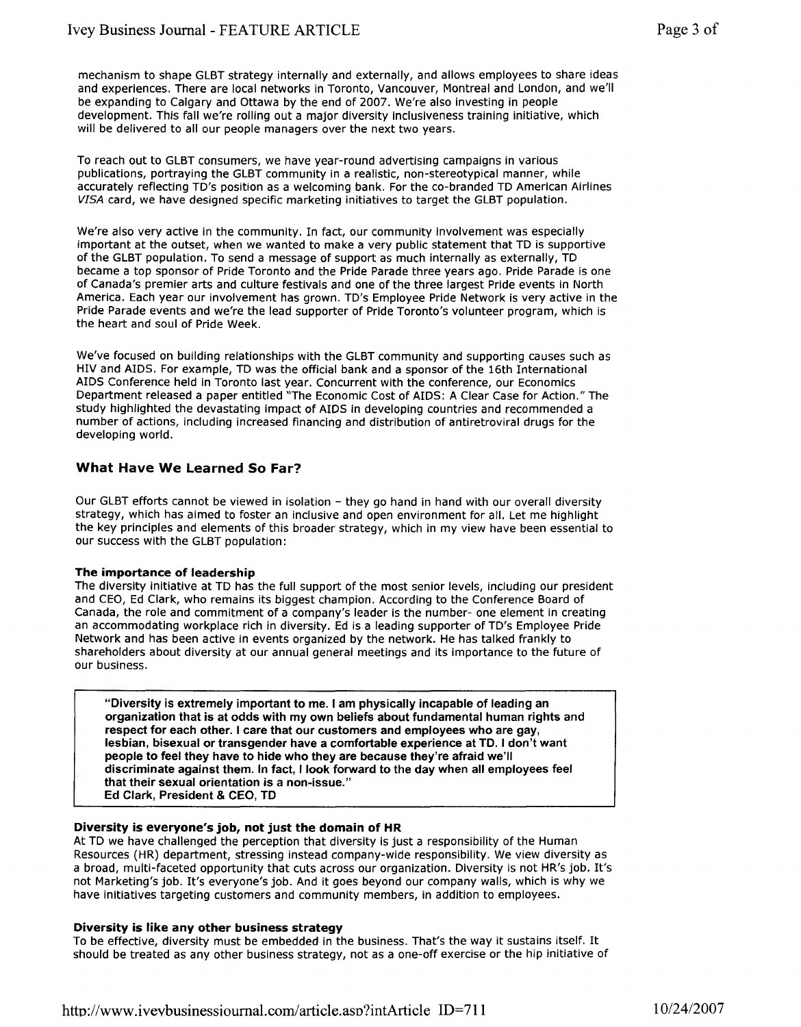mechanism to shape GLBT strategy internally and externally, and allows employees to share ideas and experiences. There are local networks in Toronto, Vancouver, Montreal and London, and we'll be expanding to Calgary and Ottawa by the end of 2007. We're also investing in people development. This fall we're rolling out a major diversity inclusiveness training initiative, which will be delivered to all our people managers over the next two years.

To reach out to GLBT consumers, we have year-round advertising campaigns in various publications, portraying the GLBT community in a realistic, non-stereotypical manner, while accurately reflecting TD's position as a welcoming bank. For the co-branded TD American Airlines VISA card, we have designed specific marketing initiatives to target the GLBT population.

We're also very active in the community. In fact, our community involvement was especially important at the outset, when we wanted to make a very public statement that TD is supportive of the GLBT population. To send a message of support as much internally as externally, TD became a top sponsor of Pride Toronto and the Pride Parade three years ago. Pride Parade is one of Canada's premier arts and culture festivals and one of the three largest Pride events in North America. Each year our involvement has grown. TD's Employee Pride Network is very active in the Pride Parade events and we're the lead supporter of Pride Toronto's volunteer program, which is the heart and soul of Pride Week.

We've focused on building relationships with the GLBT community and supporting causes such as HIV and AIDS. For example, TD was the official bank and a sponsor of the 16th International AIDS Conference held in Toronto last year. Concurrent with the conference, our Economics Department released a paper entitled "The Economic Cost of AIDS: A Clear Case for Action." The study highlighted the devastating impact of AIDS in developing countries and recommended a number of actions, including increased financing and distribution of antiretroviral drugs for the developing world.

# **What Have We Learned So Far?**

Our GLBT efforts cannot be viewed in isolation - they go hand in hand with our overall diversity strategy, which has aimed to foster an inclusive and open environment for all. Let me highlight the key principles and elements of this broader strategy, which in my view have been essential to our success with the GLBT population:

## **The importance of leadership**

The diversity initiative at TD has the full support of the most senior levels, including our president and CEO, Ed Clark, who remains its biggest champion. According to the Conference Board of Canada, the role and commitment of a company's leader is the number- one element in creating an accommodating workplace rich in diversity. Ed is a leading supporter of TD's Employee Pride Network and has been active in events organized by the network. He has talked frankly to shareholders about diversity at our annual general meetings and its importance to the future of our business.

"Diversity is extremely important to me. I am physically incapable of leading an organization that is at odds with my own beliefs about fundamental human rights and respect for each other. I care that our customers and employees who are gay, lesbian, bisexual or transgender have a comfortable experience at TD. I don't want people to feel they have to hide who they are because they're afraid we'll discriminate against them. In fact, I look forward to the day when all employees feel that their sexual orientation is a non-issue." Ed Clark, President & CEO, TD

## **Diversity is everyone's job, not just the domain of HR**

At TD we have challenged the perception that diversity is just a responsibility of the Human Resources (HR) department, stressing instead company-wide responsibility. We view diversity as a broad, multi-faceted opportunity that cuts across our organization. Diversity is not HR's job. It's not Marketing's job. It's everyone's job. And it goes beyond our company walls, which is why we have initiatives targeting customers and community members, in addition to employees.

## **Diversity is like any other business strategy**

To be effective, diversity must be embedded in the business. That's the way it sustains itself. It should be treated as any other business strategy, not as a one-off exercise or the hip initiative of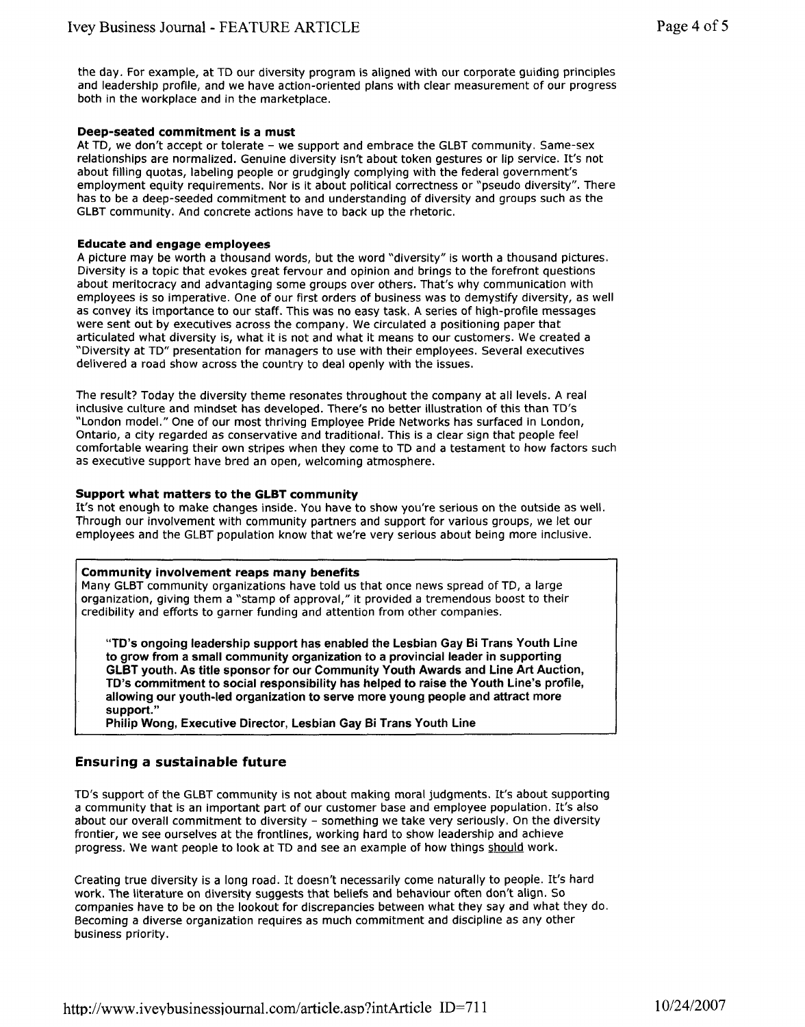the day. For example, at TD our diversity program is aligned with our corporate guiding principles and leadership profile, and we have action-oriented plans with clear measurement of our progress both in the workplace and in the marketplace.

#### **Deep-seated commitment is a must**

At TD, we don't accept or tolerate - we support and embrace the GLBT community. Same-sex relationships are normalized. Genuine diversity isn't about token gestures or lip service. It's not about filling quotas, labeling people or grudgingly complying with the federal government's employment equity requirements. Nor is it about political correctness or "pseudo diversity". There has to be a deep-seeded commitment to and understanding of diversity and groups such as the GLBT community. And concrete actions have to back up the rhetoric.

#### **Educate and engage employees**

A picture may be worth a thousand words, but the word "diversity" is worth a thousand pictures. Diversity is a topic that evokes great fervour and opinion and brings to the forefront questions about meritocracy and advantaging some groups over others. That's why communication with employees is so imperative. One of our first orders of business was to demystify diversity, as well as convey its importance to our staff. This was no easy task. A series of high-profile messages were sent out by executives across the company. We circulated a positioning paper that articulated what diversity is, what it is not and what it means to our customers. We created a "Diversity at TD" presentation for managers to use with their employees. Several executives delivered a road show across the country to deal openly with the issues.

The result? Today the diversity theme resonates throughout the company at all levels. A real inclusive culture and mindset has developed. There's no better illustration of this than TD's "London model." One of our most thriving Employee Pride Networks has surfaced in London, Ontario, a city regarded as conservative and traditional. This is a clear sign that people feel comfortable wearing their own stripes when they come to TD and a testament to how factors such as executive support have bred an open, welcoming atmosphere.

## **Support what matters to the GLBT community**

It's not enough to make changes inside. You have to show you're serious on the outside as well. Through our involvement with community partners and support for various groups, we let our employees and the GLBT population know that we're very serious about being more inclusive.

## **Community involvement reaps many benefits**

Many GLBT community organizations have told us that once news spread of TD, a large organization, giving them a "stamp of approval," it provided a tremendous boost to their credibility and efforts to garner funding and attention from other companies.

**"TD's ongoing leadership support has enabled the Lesbian Gay Bi Trans Youth Line to grow from a small community organization to a provincial leader in supporting GLBT youth. As title sponsor for our Community Youth Awards and Line Art Auction, TD's commitment to social responsibility has helped to raise the Youth Line's profile, allowing our youth-led organization to serve more young people and attract more support."**

**Philip Wong, Executive Director, Lesbian Gay Bi Trans Youth Line**

# **Ensuring a sustainable future**

TD's support of the GLBT community is not about making moral judgments. It's about supporting a community that is an important part of our customer base and employee population. It's also about our overall commitment to diversity - something we take very seriously. On the diversity frontier, we see ourselves at the frontlines, working hard to show leadership and achieve progress. We want people to look at TD and see an example of how things should work.

Creating true diversity is a long road. It doesn't necessarily come naturally to people. It's hard work. The literature on diversity suggests that beliefs and behaviour often don't align. So companies have to be on the lookout for discrepancies between what they say and what they do. Becoming a diverse organization requires as much commitment and discipline as any other business priority.